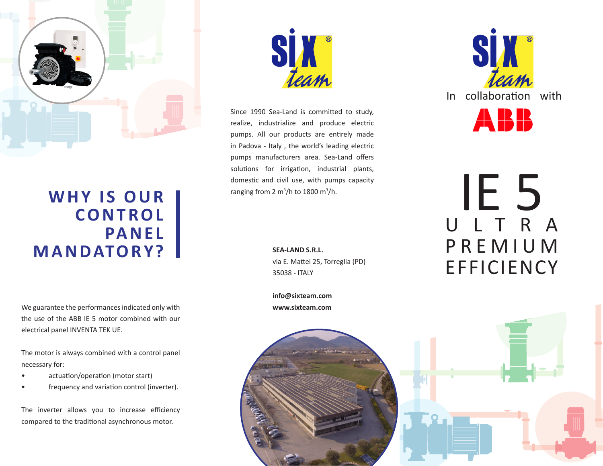

## WHY IS OUR **CO N T RO L PA N E L MANDATORY?**

We guarantee the performances indicated only with the use of the ABB IE 5 motor combined with our electrical panel INVENTA TEK UE.

The motor is always combined with a control panel necessary for:

- actuation/operation (motor start)
- frequency and variation control (inverter).

The inverter allows you to increase efficiency compared to the traditional asynchronous motor.



Since 1990 Sea-Land is committed to study, realize, industrialize and produce electric pumps. All our products are entirely made in Padova - Italy , the world's leading electric pumps manufacturers area. Sea-Land offers solutions for irrigation, industrial plants, domestic and civil use, with pumps capacity ranging from 2 m<sup>3</sup>/h to 1800 m<sup>3</sup>/h.

> **SEA-LAND S.R.L.** via E. Mattei 25, Torreglia (PD) 35038 - ITALY

**info@sixteam.com www.sixteam.com**





## IE 5 U L T R A P R E M I U M EFFICIENCY